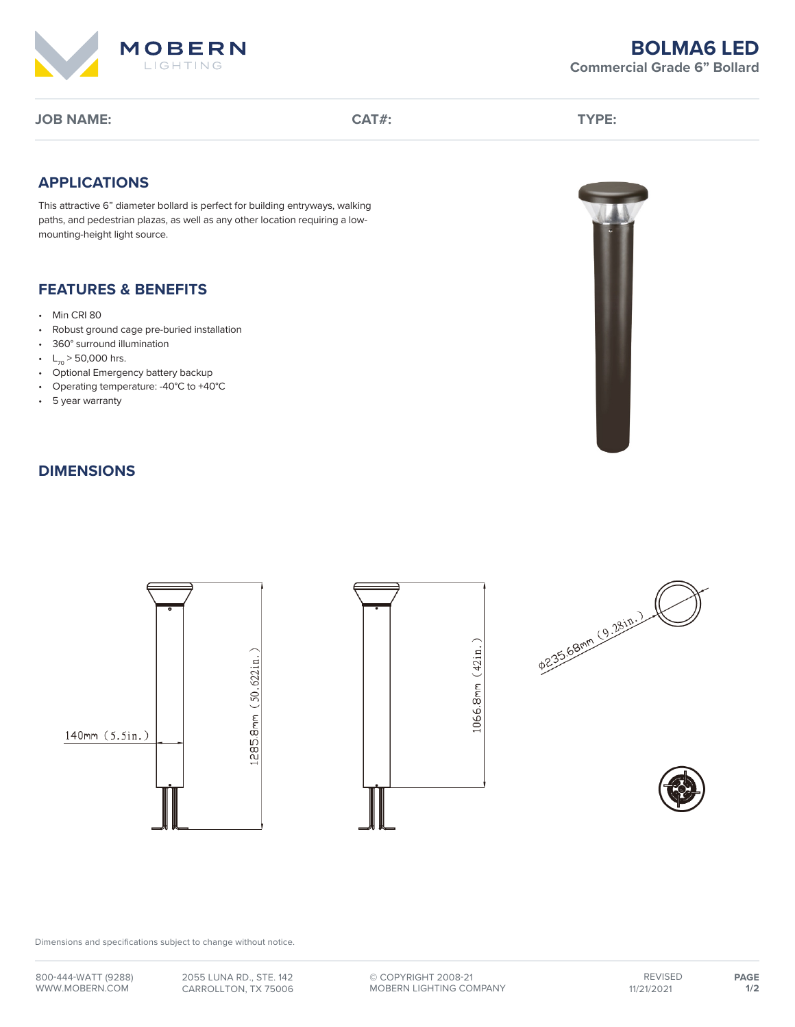

# **BOLMA6 LED Commercial Grade 6" Bollard**

**JOB NAME: CAT#: TYPE:**

# **APPLICATIONS**

This attractive 6" diameter bollard is perfect for building entryways, walking paths, and pedestrian plazas, as well as any other location requiring a lowmounting-height light source.

# **FEATURES & BENEFITS**

- Min CRI 80
- Robust ground cage pre-buried installation
- 360° surround illumination
- $L_{70}$  > 50,000 hrs.
- Optional Emergency battery backup
- Operating temperature: -40°C to +40°C
- 5 year warranty

# **DIMENSIONS**









Dimensions and specifications subject to change without notice.